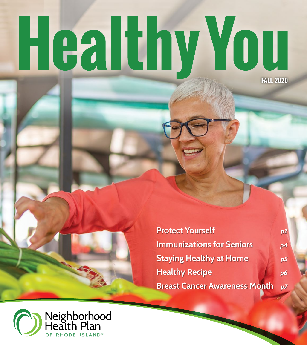# Healthy You **FALL 2020**

**Protect Yourself** *p2*  **Immunizations for Seniors** *p4*  **Staying Healthy at Home** *p5* **Healthy Recipe** *p6* **Breast Cancer Awareness Month** *p7*

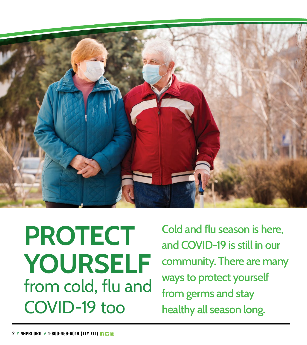

**PROTECT YOURSELF** from cold, flu and COVID-19 too

Cold and flu season is here, and COVID-19 is still in our community. There are many ways to protect yourself from germs and stay healthy all season long.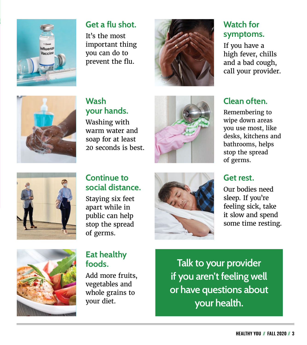

## **Get a flu shot.**

It's the most important thing you can do to prevent the flu.



# **Watch for symptoms.**

If you have a high fever, chills and a bad cough, call your provider.



# **Wash your hands.**

Washing with warm water and soap for at least 20 seconds is best.





### **Continue to social distance.**

Staying six feet apart while in public can help stop the spread of germs.



# **Clean often.**

Remembering to wipe down areas you use most, like desks, kitchens and bathrooms, helps stop the spread of germs.

# **Get rest.**

Our bodies need sleep. If you're feeling sick, take it slow and spend some time resting.



### **Eat healthy foods.**

Add more fruits, vegetables and whole grains to your diet.

**Talk to your provider if you aren't feeling well or have questions about your health.**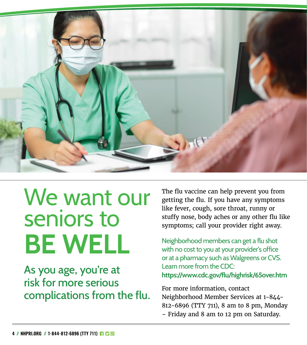

# We want our seniors to **BE WELL**

As you age, you're at risk for more serious complications from the flu. The flu vaccine can help prevent you from getting the flu. If you have any symptoms like fever, cough, sore throat, runny or stuffy nose, body aches or any other flu like symptoms; call your provider right away.

Neighborhood members can get a flu shot with no cost to you at your provider's office or at a pharmacy such as Walgreens or CVS. Learn more from the CDC: **<https://www.cdc.gov/flu/highrisk/65over.htm>**

For more information, contact Neighborhood Member Services at 1-844- 812-6896 (TTY 711), 8 am to 8 pm, Monday – Friday and 8 am to 12 pm on Saturday.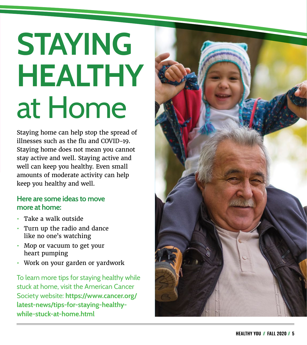# **STAYING HEALTHY**  at Home

Staying home can help stop the spread of illnesses such as the flu and COVID-19. Staying home does not mean you cannot stay active and well. Staying active and well can keep you healthy. Even small amounts of moderate activity can help keep you healthy and well.

### **Here are some ideas to move more at home:**

- **•** Take a walk outside
- **•** Turn up the radio and dance like no one's watching
- **•** Mop or vacuum to get your heart pumping
- **•** Work on your garden or yardwork

To learn more tips for staying healthy while stuck at home, visit the American Cancer Society website: **[https://www.cancer.org/](https://www.cancer.org/latest-news/tips-for-staying-healthy-while-stuck-at-home.html) [latest-news/tips-for-staying-healthy](https://www.cancer.org/latest-news/tips-for-staying-healthy-while-stuck-at-home.html)[while-stuck-at-home.html](https://www.cancer.org/latest-news/tips-for-staying-healthy-while-stuck-at-home.html)**

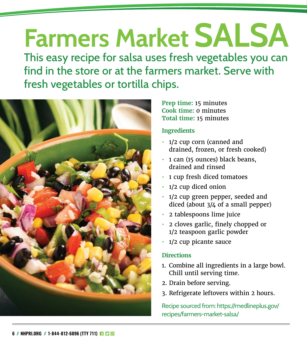# **Farmers Market SALSA**

This easy recipe for salsa uses fresh vegetables you can find in the store or at the farmers market. Serve with fresh vegetables or tortilla chips.



#### **Prep time:** 15 minutes **Cook time:** 0 minutes **Total time:** 15 minutes

#### **Ingredients**

- **•** 1/2 cup corn (canned and drained, frozen, or fresh cooked)
- **•** 1 can (15 ounces) black beans, drained and rinsed
- **•** 1 cup fresh diced tomatoes
- **•** 1/2 cup diced onion
- **•** 1/2 cup green pepper, seeded and diced (about 3/4 of a small pepper)
- **•** 2 tablespoons lime juice
- **•** 2 cloves garlic, finely chopped or 1/2 teaspoon garlic powder
- **•** 1/2 cup picante sauce

### **Directions**

- 1. Combine all ingredients in a large bowl. Chill until serving time.
- 2. Drain before serving.
- 3. Refrigerate leftovers within 2 hours.

Recipe sourced from: [https://medlineplus.gov/](https://medlineplus.gov/recipes/farmers-market-salsa/) [recipes/farmers-market-salsa/](https://medlineplus.gov/recipes/farmers-market-salsa/)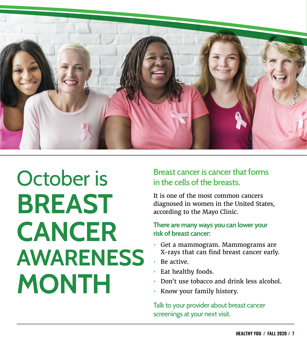

# October is **BREAST CANCER AWARENESS MONTH**

### **Breast cancer is cancer that forms in the cells of the breasts.**

It is one of the most common cancers diagnosed in women in the United States, according to the Mayo Clinic.

#### **There are many ways you can lower your risk of breast cancer:**

- **•** Get a mammogram. Mammograms are X-rays that can find breast cancer early.
- **•** Be active.
- **•** Eat healthy foods.
- **•** Don't use tobacco and drink less alcohol.
- **•** Know your family history.

Talk to your provider about breast cancer screenings at your next visit.